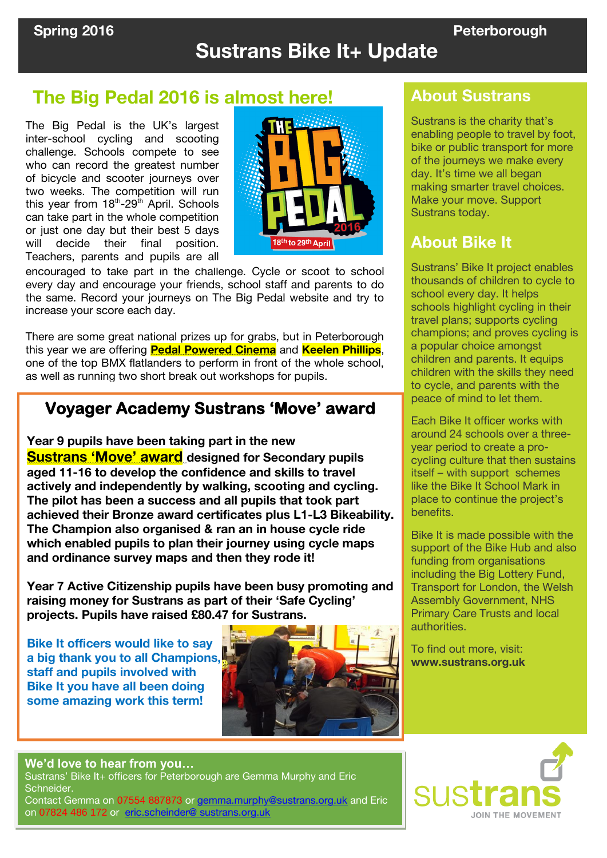# **Sustrans Bike It+ Update**

# **The Big Pedal 2016 is almost here!** About Sustrans

 challenge. Schools compete to see The Big Pedal is the UK's largest inter-school cycling and scooting who can record the greatest number of bicycle and scooter journeys over two weeks. The competition will run this year from 18<sup>th</sup>-29<sup>th</sup> April. Schools can take part in the whole competition or just one day but their best 5 days will decide their final position. Teachers, parents and pupils are all



encouraged to take part in the challenge. Cycle or scoot to school every day and encourage your friends, school staff and parents to do the same. Record your journeys on The Big Pedal website and try to increase your score each day.

There are some great national prizes up for grabs, but in Peterborough this year we are offering **Pedal Powered Cinema** and **Keelen Phillips**, one of the top BMX flatlanders to perform in front of the whole school, as well as running two short break out workshops for pupils.

## **Voyager Academy Sustrans 'Move' award**

**Year 9 pupils have been taking part in the new Sustrans 'Move' award designed for Secondary pupils aged 11-16 to develop the confidence and skills to travel actively and independently by walking, scooting and cycling. The pilot has been a success and all pupils that took part achieved their Bronze award certificates plus L1-L3 Bikeability. The Champion also organised & ran an in house cycle ride which enabled pupils to plan their journey using cycle maps and ordinance survey maps and then they rode it!** 

**Year 7 Active Citizenship pupils have been busy promoting and raising money for Sustrans as part of their 'Safe Cycling' projects. Pupils have raised £80.47 for Sustrans.** 

**Bike It officers would like to say a big thank you to all Champions, staff and pupils involved with Bike It you have all been doing some amazing work this term!**



Sustrans is the charity that's enabling people to travel by foot, bike or public transport for more of the journeys we make every day. It's time we all began making smarter travel choices. Make your move. Support Sustrans today.

## **About Bike It**

Sustrans' Bike It project enables thousands of children to cycle to school every day. It helps schools highlight cycling in their travel plans; supports cycling champions; and proves cycling is a popular choice amongst children and parents. It equips children with the skills they need to cycle, and parents with the peace of mind to let them.

Each Bike It officer works with around 24 schools over a threeyear period to create a procycling culture that then sustains itself – with support schemes like the Bike It School Mark in place to continue the project's benefits.

Bike It is made possible with the support of the Bike Hub and also funding from organisations including the Big Lottery Fund, Transport for London, the Welsh Assembly Government, NHS Primary Care Trusts and local authorities.

To find out more, visit: **www.sustrans.org.uk**

#### **We'd love to hear from you…**

 Sustrans' Bike It+ officers for Peterborough are Gemma Murphy and Eric Schneider.

Contact Gemma on 07554 887873 or [gemma.murphy@sustrans.org.uk](mailto:gemma.murphy@sustrans.org.uk) and Eric on 07824 486 172 or [eric.scheinder@ sustrans.org.uk](mailto:eric.scheinder@%20sustrans.org.uk)